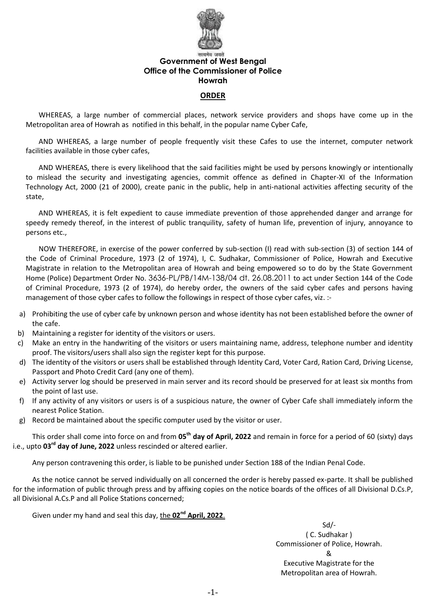

# **Government of West Bengal Office of the Commissioner of Police Howrah**

#### **ORDER**

WHEREAS, a large number of commercial places, network service providers and shops have come up in the Metropolitan area of Howrah as notified in this behalf, in the popular name Cyber Cafe,

AND WHEREAS, a large number of people frequently visit these Cafes to use the internet, computer network facilities available in those cyber cafes,

AND WHEREAS, there is every likelihood that the said facilities might be used by persons knowingly or intentionally to mislead the security and investigating agencies, commit offence as defined in Chapter-XI of the Information Technology Act, 2000 (21 of 2000), create panic in the public, help in anti-national activities affecting security of the state,

AND WHEREAS, it is felt expedient to cause immediate prevention of those apprehended danger and arrange for speedy remedy thereof, in the interest of public tranquility, safety of human life, prevention of injury, annoyance to persons etc.,

NOW THEREFORE, in exercise of the power conferred by sub-section (I) read with sub-section (3) of section 144 of the Code of Criminal Procedure, 1973 (2 of 1974), I, C. Sudhakar, Commissioner of Police, Howrah and Executive Magistrate in relation to the Metropolitan area of Howrah and being empowered so to do by the State Government Home (Police) Department Order No. 3636-PL/PB/14M-138/04 dt. 26.08.2011 to act under Section 144 of the Code of Criminal Procedure, 1973 (2 of 1974), do hereby order, the owners of the said cyber cafes and persons having management of those cyber cafes to follow the followings in respect of those cyber cafes, viz. :-

- a) Prohibiting the use of cyber cafe by unknown person and whose identity has not been established before the owner of the cafe.
- b) Maintaining a register for identity of the visitors or users.
- c) Make an entry in the handwriting of the visitors or users maintaining name, address, telephone number and identity proof. The visitors/users shall also sign the register kept for this purpose.
- d) The identity of the visitors or users shall be established through Identity Card, Voter Card, Ration Card, Driving License, Passport and Photo Credit Card (any one of them).
- e) Activity server log should be preserved in main server and its record should be preserved for at least six months from the point of last use.
- f) If any activity of any visitors or users is of a suspicious nature, the owner of Cyber Cafe shall immediately inform the nearest Police Station.
- g) Record be maintained about the specific computer used by the visitor or user.

This order shall come into force on and from 05<sup>th</sup> day of April, 2022 and remain in force for a period of 60 (sixty) days i.e., upto 03<sup>rd</sup> day of June, 2022 unless rescinded or altered earlier.

Any person contravening this order, is liable to be punished under Section 188 of the Indian Penal Code.

As the notice cannot be served individually on all concerned the order is hereby passed ex-parte. It shall be published for the information of public through press and by affixing copies on the notice boards of the offices of all Divisional D.Cs.P, all Divisional A.Cs.P and all Police Stations concerned;

Given under my hand and seal this day, the **02nd April, 2022**.

 Sd/- ( C. Sudhakar ) Commissioner of Police, Howrah. & Executive Magistrate for the Metropolitan area of Howrah.